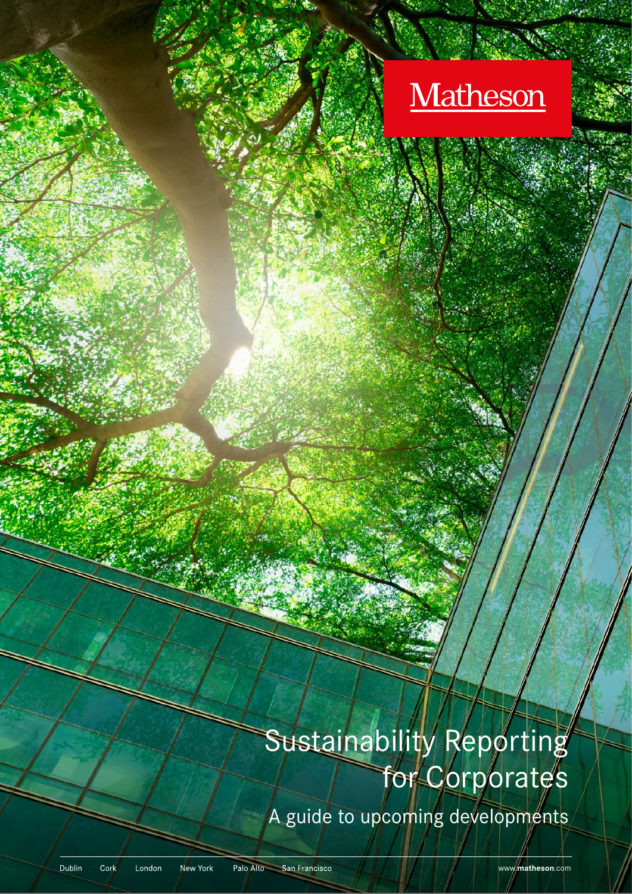

# Sustainability Reporting for Corporates

A guide to upcoming developments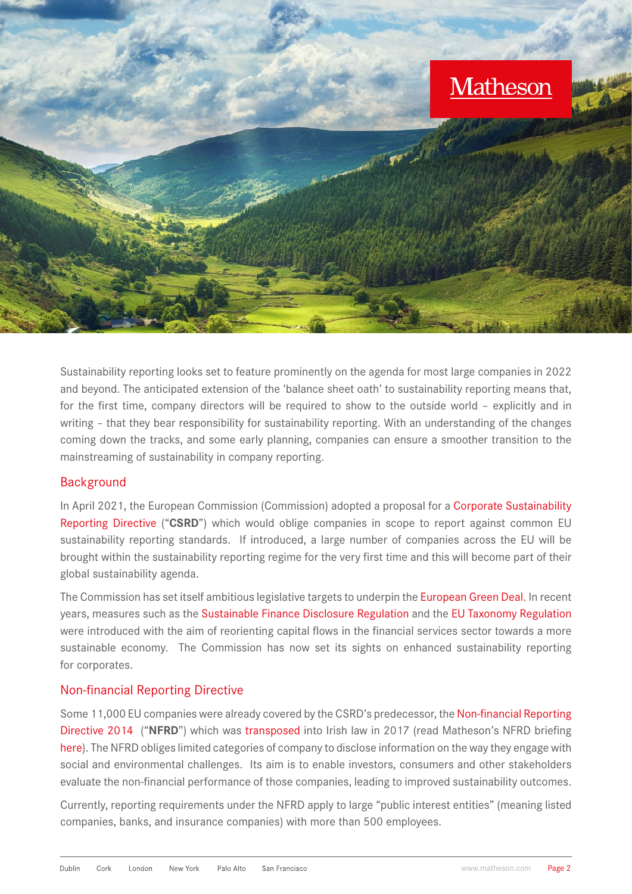

Sustainability reporting looks set to feature prominently on the agenda for most large companies in 2022 and beyond. The anticipated extension of the 'balance sheet oath' to sustainability reporting means that, for the first time, company directors will be required to show to the outside world – explicitly and in writing – that they bear responsibility for sustainability reporting. With an understanding of the changes coming down the tracks, and some early planning, companies can ensure a smoother transition to the mainstreaming of sustainability in company reporting.

# **Background**

In April 2021, the European Commission (Commission) adopted a proposal for a Corporate Sustainability [Reporting Directive](https://ec.europa.eu/info/business-economy-euro/company-reporting-and-auditing/company-reporting/corporate-sustainability-reporting_en) ("**CSRD**") which would oblige companies in scope to report against common EU sustainability reporting standards. If introduced, a large number of companies across the EU will be brought within the sustainability reporting regime for the very first time and this will become part of their global sustainability agenda.

The Commission has set itself ambitious legislative targets to underpin the [European Green Deal.](https://ec.europa.eu/info/strategy/priorities-2019-2024/european-green-deal_en) In recent years, measures such as the [Sustainable Finance Disclosure Regulation](https://eur-lex.europa.eu/eli/reg/2019/2088/oj) and the [EU Taxonomy Regulation](https://ec.europa.eu/info/business-economy-euro/banking-and-finance/sustainable-finance/eu-taxonomy-sustainable-activities_en#:~:text=The%20Taxonomy%20Regulation%20was%20published%20in%20the%20Official,meet%20in%20order%20to%20qualify%20as%20environmentally%20sustainable) were introduced with the aim of reorienting capital flows in the financial services sector towards a more sustainable economy. The Commission has now set its sights on enhanced sustainability reporting for corporates.

# Non-financial Reporting Directive

Some 11,000 EU companies were already covered by the CSRD's predecessor, the [Non-financial Reporting](https://eur-lex.europa.eu/legal-content/EN/TXT/?uri=CELEX%3A32014L0095)  [Directive 2014](https://eur-lex.europa.eu/legal-content/EN/TXT/?uri=CELEX%3A32014L0095) ("**NFRD**") which was [transposed](https://www.irishstatutebook.ie/eli/2017/si/360/made/en/print) into Irish law in 2017 (read Matheson's NFRD briefing [here](https://www.matheson.com/insights/detail/new-non-financial-and-diversity-disclosure-obligations)). The NFRD obliges limited categories of company to disclose information on the way they engage with social and environmental challenges. Its aim is to enable investors, consumers and other stakeholders evaluate the non-financial performance of those companies, leading to improved sustainability outcomes.

Currently, reporting requirements under the NFRD apply to large "public interest entities" (meaning listed companies, banks, and insurance companies) with more than 500 employees.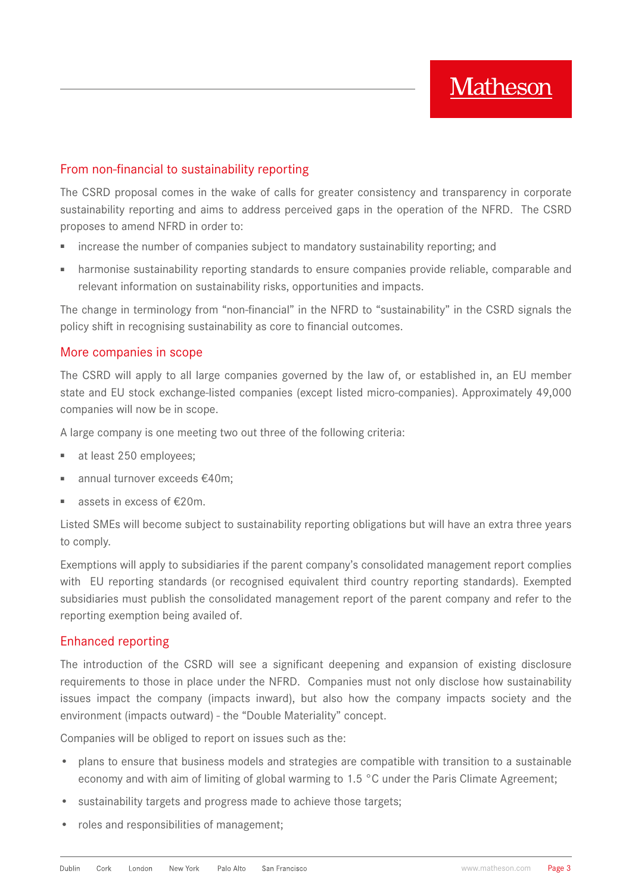# From non-financial to sustainability reporting

The CSRD proposal comes in the wake of calls for greater consistency and transparency in corporate sustainability reporting and aims to address perceived gaps in the operation of the NFRD. The CSRD proposes to amend NFRD in order to:

- increase the number of companies subject to mandatory sustainability reporting; and
- harmonise sustainability reporting standards to ensure companies provide reliable, comparable and relevant information on sustainability risks, opportunities and impacts.

The change in terminology from "non-financial" in the NFRD to "sustainability" in the CSRD signals the policy shift in recognising sustainability as core to financial outcomes.

# More companies in scope

The CSRD will apply to all large companies governed by the law of, or established in, an EU member state and EU stock exchange-listed companies (except listed micro-companies). Approximately 49,000 companies will now be in scope.

A large company is one meeting two out three of the following criteria:

- at least 250 employees;
- annual turnover exceeds €40m;
- assets in excess of  $£20m$ .

Listed SMEs will become subject to sustainability reporting obligations but will have an extra three years to comply.

Exemptions will apply to subsidiaries if the parent company's consolidated management report complies with EU reporting standards (or recognised equivalent third country reporting standards). Exempted subsidiaries must publish the consolidated management report of the parent company and refer to the reporting exemption being availed of.

# Enhanced reporting

The introduction of the CSRD will see a significant deepening and expansion of existing disclosure requirements to those in place under the NFRD. Companies must not only disclose how sustainability issues impact the company (impacts inward), but also how the company impacts society and the environment (impacts outward) - the "Double Materiality" concept.

Companies will be obliged to report on issues such as the:

- plans to ensure that business models and strategies are compatible with transition to a sustainable economy and with aim of limiting of global warming to 1.5 °C under the Paris Climate Agreement;
- sustainability targets and progress made to achieve those targets;
- roles and responsibilities of management;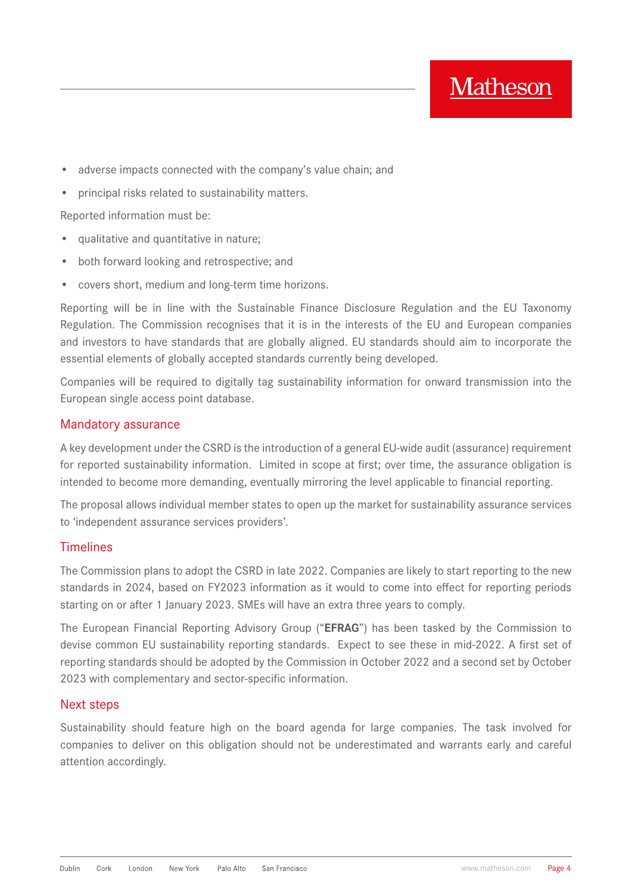

- adverse impacts connected with the company's value chain; and
- principal risks related to sustainability matters.

Reported information must be:

- qualitative and quantitative in nature;
- both forward looking and retrospective; and
- covers short, medium and long-term time horizons.

Reporting will be in line with the Sustainable Finance Disclosure Regulation and the EU Taxonomy Regulation. The Commission recognises that it is in the interests of the EU and European companies and investors to have standards that are globally aligned. EU standards should aim to incorporate the essential elements of globally accepted standards currently being developed.

Companies will be required to digitally tag sustainability information for onward transmission into the European single access point database.

#### Mandatory assurance

A key development under the CSRD is the introduction of a general EU-wide audit (assurance) requirement for reported sustainability information. Limited in scope at first; over time, the assurance obligation is intended to become more demanding, eventually mirroring the level applicable to financial reporting.

The proposal allows individual member states to open up the market for sustainability assurance services to 'independent assurance services providers'.

#### Timelines

The Commission plans to adopt the CSRD in late 2022. Companies are likely to start reporting to the new standards in 2024, based on FY2023 information as it would to come into effect for reporting periods starting on or after 1 January 2023. SMEs will have an extra three years to comply.

The European Financial Reporting Advisory Group ("**EFRAG**") has been tasked by the Commission to devise common EU sustainability reporting standards. Expect to see these in mid-2022. A first set of reporting standards should be adopted by the Commission in October 2022 and a second set by October 2023 with complementary and sector-specific information.

#### Next steps

Sustainability should feature high on the board agenda for large companies. The task involved for companies to deliver on this obligation should not be underestimated and warrants early and careful attention accordingly.